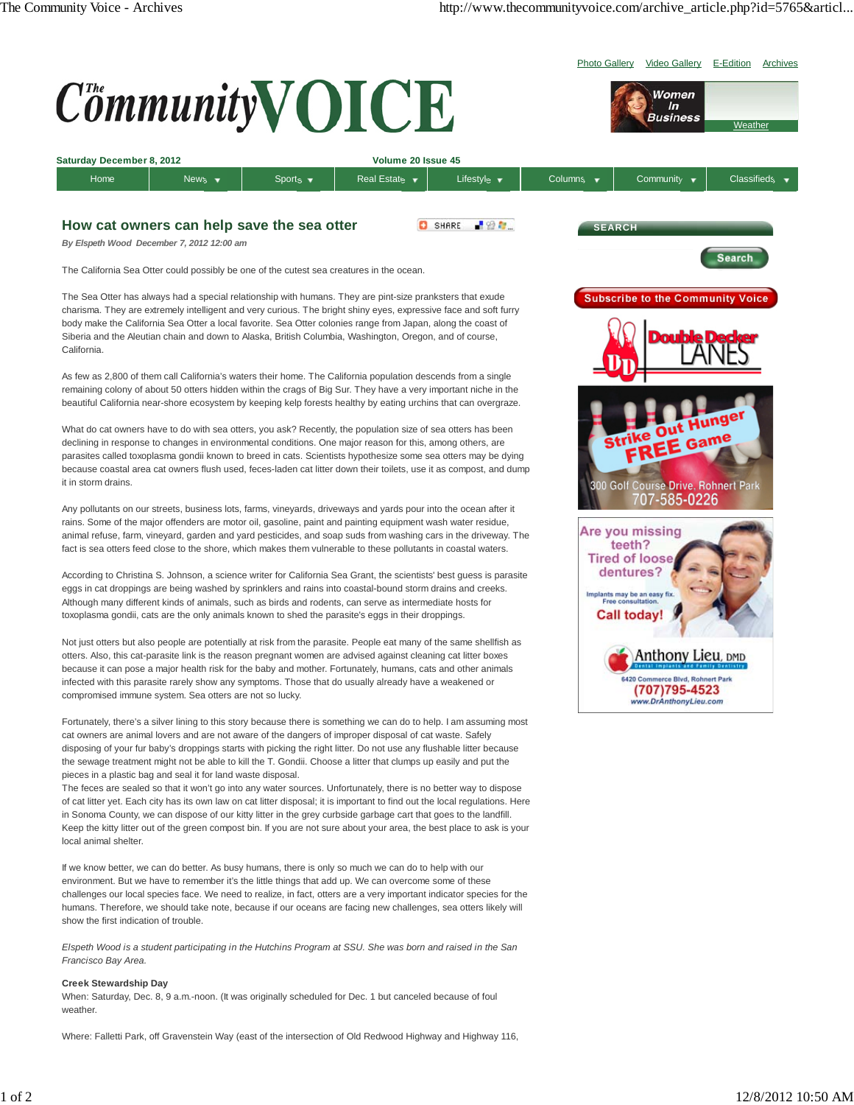

environment. But we have to remember it's the little things that add up. We can overcome some of these challenges our local species face. We need to realize, in fact, otters are a very important indicator species for the humans. Therefore, we should take note, because if our oceans are facing new challenges, sea otters likely will show the first indication of trouble.

*Elspeth Wood is a student participating in the Hutchins Program at SSU. She was born and raised in the San Francisco Bay Area.*

## **Creek Stewardship Day**

When: Saturday, Dec. 8, 9 a.m.-noon. (It was originally scheduled for Dec. 1 but canceled because of foul weather

Where: Falletti Park, off Gravenstein Way (east of the intersection of Old Redwood Highway and Highway 116,